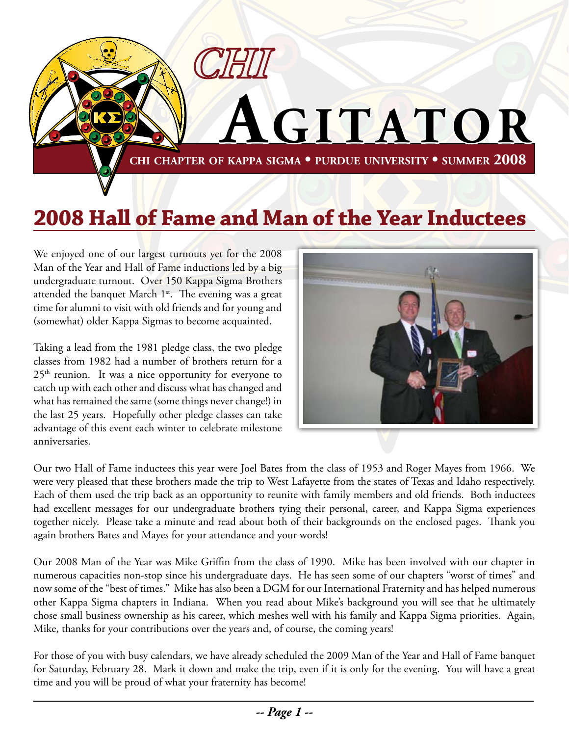

# **2008 Hall of Fame and Man of the Year Inductees**

We enjoyed one of our largest turnouts yet for the 2008 Man of the Year and Hall of Fame inductions led by a big undergraduate turnout. Over 150 Kappa Sigma Brothers attended the banquet March 1<sup>st</sup>. The evening was a great time for alumni to visit with old friends and for young and (somewhat) older Kappa Sigmas to become acquainted.

Taking a lead from the 1981 pledge class, the two pledge classes from 1982 had a number of brothers return for a  $25<sup>th</sup>$  reunion. It was a nice opportunity for everyone to catch up with each other and discuss what has changed and what has remained the same (some things never change!) in the last 25 years. Hopefully other pledge classes can take advantage of this event each winter to celebrate milestone anniversaries.



Our two Hall of Fame inductees this year were Joel Bates from the class of 1953 and Roger Mayes from 1966. We were very pleased that these brothers made the trip to West Lafayette from the states of Texas and Idaho respectively. Each of them used the trip back as an opportunity to reunite with family members and old friends. Both inductees had excellent messages for our undergraduate brothers tying their personal, career, and Kappa Sigma experiences together nicely. Please take a minute and read about both of their backgrounds on the enclosed pages. Thank you again brothers Bates and Mayes for your attendance and your words!

Our 2008 Man of the Year was Mike Griffin from the class of 1990. Mike has been involved with our chapter in numerous capacities non-stop since his undergraduate days. He has seen some of our chapters "worst of times" and now some of the "best of times." Mike has also been a DGM for our International Fraternity and has helped numerous other Kappa Sigma chapters in Indiana. When you read about Mike's background you will see that he ultimately chose small business ownership as his career, which meshes well with his family and Kappa Sigma priorities. Again, Mike, thanks for your contributions over the years and, of course, the coming years!

For those of you with busy calendars, we have already scheduled the 2009 Man of the Year and Hall of Fame banquet for Saturday, February 28. Mark it down and make the trip, even if it is only for the evening. You will have a great time and you will be proud of what your fraternity has become!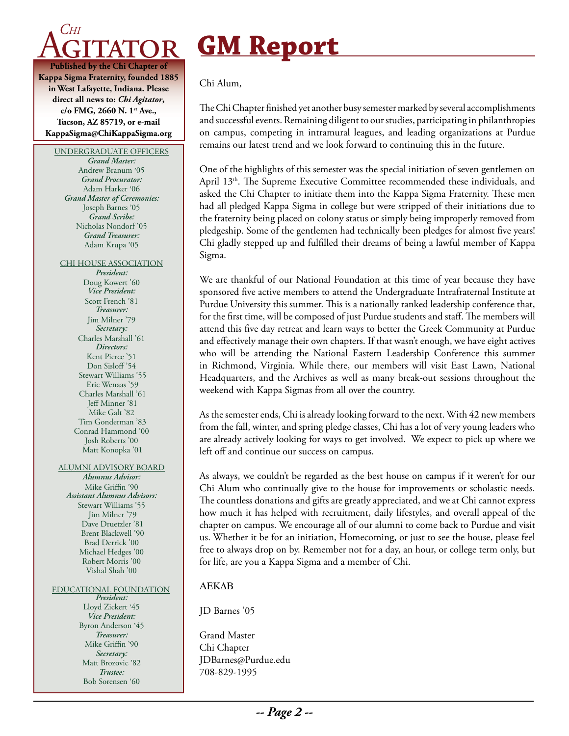

**Kappa Sigma Fraternity, founded 1885 in West Lafayette, Indiana. Please direct all news to:** *Chi Agitator***, c/o FMG, 2660 N. 1st Ave., Tucson, AZ 85719, or e-mail KappaSigma@ChiKappaSigma.org**

UNDERGRADUATE OFFICERS *Grand Master:*

Andrew Branum '05 *Grand Procurator:* Adam Harker '06 *Grand Master of Ceremonies:* Joseph Barnes '05 *Grand Scribe:* Nicholas Nondorf '05 *Grand Treasurer:* Adam Krupa '05

CHI HOUSE ASSOCIATION

*President:* Doug Kowert '60 *Vice President:* Scott French '81 *Treasurer:* Jim Milner '79 *Secretary:* Charles Marshall '61 *Directors:* Kent Pierce '51 Don Sisloff<sup>'54</sup> Stewart Williams '55 Eric Wenaas '59 Charles Marshall '61 Jeff Minner '81 Mike Galt '82 Tim Gonderman '83 Conrad Hammond '00 Josh Roberts '00 Matt Konopka '01

#### ALUMNI ADVISORY BOARD

*Alumnus Advisor:* Mike Griffin '90 *Assistant Alumnus Advisors:* Stewart Williams '55 Jim Milner '79 Dave Druetzler '81 Brent Blackwell '90 Brad Derrick '00 Michael Hedges '00 Robert Morris '00 Vishal Shah '00

#### EDUCATIONAL FOUNDATION

*President:* Lloyd Zickert '45 *Vice President:* Byron Anderson '45 *Treasurer:* Mike Griffin '90 *Secretary:* Matt Brozovic '82 *Trustee:* Bob Sorensen '60

# **GM Report**

Chi Alum,

The Chi Chapter finished yet another busy semester marked by several accomplishments and successful events. Remaining diligent to our studies, participating in philanthropies on campus, competing in intramural leagues, and leading organizations at Purdue remains our latest trend and we look forward to continuing this in the future.

One of the highlights of this semester was the special initiation of seven gentlemen on April 13<sup>th</sup>. The Supreme Executive Committee recommended these individuals, and asked the Chi Chapter to initiate them into the Kappa Sigma Fraternity. These men had all pledged Kappa Sigma in college but were stripped of their initiations due to the fraternity being placed on colony status or simply being improperly removed from pledgeship. Some of the gentlemen had technically been pledges for almost five years! Chi gladly stepped up and fulfilled their dreams of being a lawful member of Kappa Sigma.

We are thankful of our National Foundation at this time of year because they have sponsored five active members to attend the Undergraduate Intrafraternal Institute at Purdue University this summer. This is a nationally ranked leadership conference that, for the first time, will be composed of just Purdue students and staff. The members will attend this five day retreat and learn ways to better the Greek Community at Purdue and effectively manage their own chapters. If that wasn't enough, we have eight actives who will be attending the National Eastern Leadership Conference this summer in Richmond, Virginia. While there, our members will visit East Lawn, National Headquarters, and the Archives as well as many break-out sessions throughout the weekend with Kappa Sigmas from all over the country.

As the semester ends, Chi is already looking forward to the next. With 42 new members from the fall, winter, and spring pledge classes, Chi has a lot of very young leaders who are already actively looking for ways to get involved. We expect to pick up where we left off and continue our success on campus.

As always, we couldn't be regarded as the best house on campus if it weren't for our Chi Alum who continually give to the house for improvements or scholastic needs. The countless donations and gifts are greatly appreciated, and we at Chi cannot express how much it has helped with recruitment, daily lifestyles, and overall appeal of the chapter on campus. We encourage all of our alumni to come back to Purdue and visit us. Whether it be for an initiation, Homecoming, or just to see the house, please feel free to always drop on by. Remember not for a day, an hour, or college term only, but for life, are you a Kappa Sigma and a member of Chi.

#### **AEKAB**

JD Barnes '05

Grand Master Chi Chapter JDBarnes@Purdue.edu 708-829-1995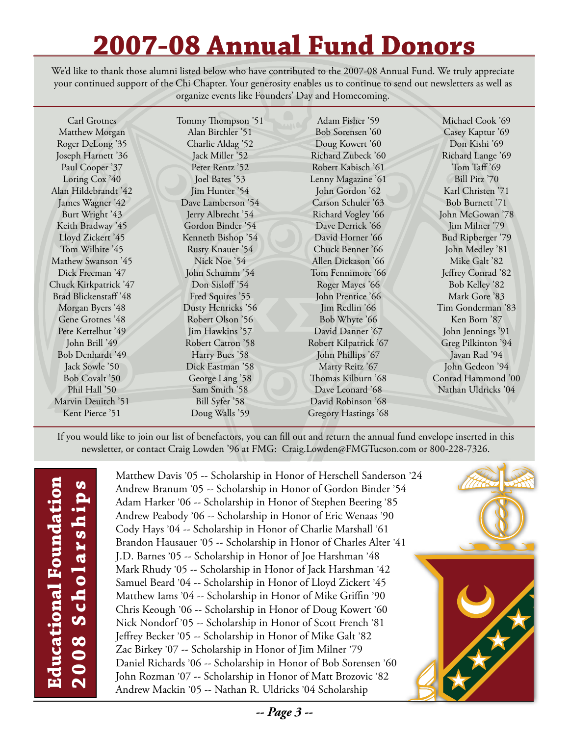# **2007-08 Annual Fund Donors**

We'd like to thank those alumni listed below who have contributed to the 2007-08 Annual Fund. We truly appreciate your continued support of the Chi Chapter. Your generosity enables us to continue to send out newsletters as well as organize events like Founders' Day and Homecoming.

Carl Grotnes Matthew Morgan Roger DeLong '35 Joseph Harnett '36 Paul Cooper '37 Loring Cox '40 Alan Hildebrandt '42 James Wagner '42 Burt Wright '43 Keith Bradway '45 Lloyd Zickert '45 Tom Wilhite '45 Mathew Swanson '45 Dick Freeman '47 Chuck Kirkpatrick '47 Brad Blickenstaff '48 Morgan Byers '48 Gene Grotnes '48 Pete Kettelhut '49 John Brill '49 Bob Denhardt '49 Jack Sowle '50 Bob Covalt '50 Phil Hall '50 Marvin Deuitch '51 Kent Pierce '51

Tommy Thompson '51 Alan Birchler '51 Charlie Aldag '52 Jack Miller '52 Peter Rentz '52 Joel Bates '53 Jim Hunter '54 Dave Lamberson '54 Jerry Albrecht '54 Gordon Binder '54 Kenneth Bishop '54 Rusty Knauer '54 Nick Noe '54 John Schumm '54 Don Sisloff<sup>'54</sup> Fred Squires '55 Dusty Henricks '56 Robert Olson '56 Jim Hawkins '57 Robert Catron '58 Harry Bues '58 Dick Eastman '58 George Lang '58 Sam Smith '58 Bill Syfer '58 Doug Walls '59

Adam Fisher '59 Bob Sorensen '60 Doug Kowert '60 Richard Zubeck '60 Robert Kabisch '61 Lenny Magazine '61 John Gordon '62 Carson Schuler '63 Richard Vogley '66 Dave Derrick '66 David Horner '66 Chuck Benner '66 Allen Dickason '66 Tom Fennimore '66 Roger Mayes '66 John Prentice '66 Jim Redlin '66 Bob Whyte '66 David Danner '67 Robert Kilpatrick '67 John Phillips '67 Marty Reitz '67 Thomas Kilburn '68 Dave Leonard '68 David Robinson '68 Gregory Hastings '68

Michael Cook '69 Casey Kaptur '69 Don Kishi '69 Richard Lange '69 Tom Taff '69 Bill Pitz '70 Karl Christen '71 Bob Burnett '71 John McGowan '78 Jim Milner '79 Bud Ripberger '79 John Medley '81 Mike Galt '82 Jeffrey Conrad '82 Bob Kelley '82 Mark Gore '83 Tim Gonderman '83 Ken Born '87 John Jennings '91 Greg Pilkinton '94 Javan Rad '94 John Gedeon '94 Conrad Hammond '00 Nathan Uldricks '04

If you would like to join our list of benefactors, you can fill out and return the annual fund envelope inserted in this newsletter, or contact Craig Lowden '96 at FMG: Craig.Lowden@FMGTucson.com or 800-228-7326.

**Educational Foundation**  Educational Foundation 2008 Scholarships **2008 Scholarships**

Matthew Davis '05 -- Scholarship in Honor of Herschell Sanderson '24 Andrew Branum '05 -- Scholarship in Honor of Gordon Binder '54 Adam Harker '06 -- Scholarship in Honor of Stephen Beering '85 Andrew Peabody '06 -- Scholarship in Honor of Eric Wenaas '90 Cody Hays '04 -- Scholarship in Honor of Charlie Marshall '61 Brandon Hausauer '05 -- Scholarship in Honor of Charles Alter '41 J.D. Barnes '05 -- Scholarship in Honor of Joe Harshman '48 Mark Rhudy '05 -- Scholarship in Honor of Jack Harshman '42 Samuel Beard '04 -- Scholarship in Honor of Lloyd Zickert '45 Matthew Iams '04 -- Scholarship in Honor of Mike Griffin '90 Chris Keough '06 -- Scholarship in Honor of Doug Kowert '60 Nick Nondorf '05 -- Scholarship in Honor of Scott French '81 Jeffrey Becker '05 -- Scholarship in Honor of Mike Galt '82 Zac Birkey '07 -- Scholarship in Honor of Jim Milner '79 Daniel Richards '06 -- Scholarship in Honor of Bob Sorensen '60 John Rozman '07 -- Scholarship in Honor of Matt Brozovic '82 Andrew Mackin '05 -- Nathan R. Uldricks '04 Scholarship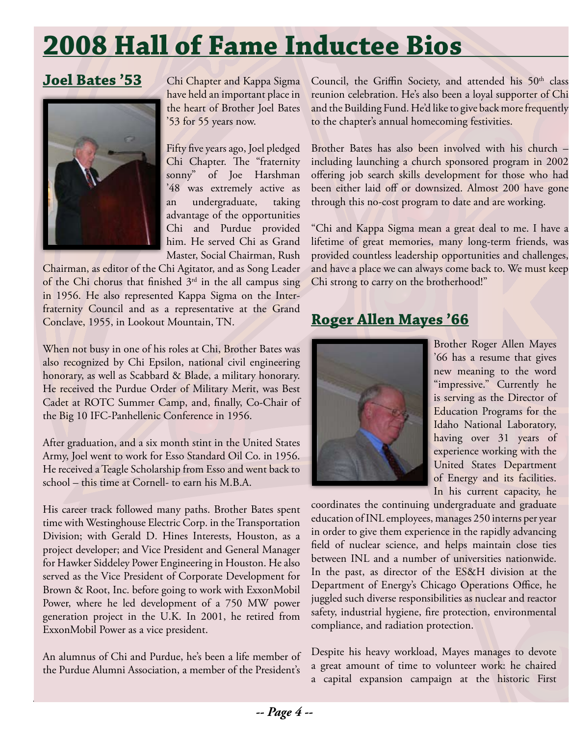# **2008 Hall of Fame Inductee Bios**

### **Joel Bates '53**



Chi Chapter and Kappa Sigma have held an important place in the heart of Brother Joel Bates '53 for 55 years now.

Fifty five years ago, Joel pledged Chi Chapter. The "fraternity sonny" of Joe Harshman '48 was extremely active as an undergraduate, taking advantage of the opportunities Chi and Purdue provided him. He served Chi as Grand Master, Social Chairman, Rush

Chairman, as editor of the Chi Agitator, and as Song Leader of the Chi chorus that finished  $3<sup>rd</sup>$  in the all campus sing in 1956. He also represented Kappa Sigma on the Interfraternity Council and as a representative at the Grand Conclave, 1955, in Lookout Mountain, TN.

When not busy in one of his roles at Chi, Brother Bates was also recognized by Chi Epsilon, national civil engineering honorary, as well as Scabbard & Blade, a military honorary. He received the Purdue Order of Military Merit, was Best Cadet at ROTC Summer Camp, and, finally, Co-Chair of the Big 10 IFC-Panhellenic Conference in 1956.

After graduation, and a six month stint in the United States Army, Joel went to work for Esso Standard Oil Co. in 1956. He received a Teagle Scholarship from Esso and went back to school – this time at Cornell- to earn his M.B.A.

His career track followed many paths. Brother Bates spent time with Westinghouse Electric Corp. in the Transportation Division; with Gerald D. Hines Interests, Houston, as a project developer; and Vice President and General Manager for Hawker Siddeley Power Engineering in Houston. He also served as the Vice President of Corporate Development for Brown & Root, Inc. before going to work with ExxonMobil Power, where he led development of a 750 MW power generation project in the U.K. In 2001, he retired from ExxonMobil Power as a vice president.

An alumnus of Chi and Purdue, he's been a life member of the Purdue Alumni Association, a member of the President's Council, the Griffin Society, and attended his 50<sup>th</sup> class reunion celebration. He's also been a loyal supporter of Chi and the Building Fund. He'd like to give back more frequently to the chapter's annual homecoming festivities.

Brother Bates has also been involved with his church – including launching a church sponsored program in 2002 offering job search skills development for those who had been either laid off or downsized. Almost 200 have gone through this no-cost program to date and are working.

"Chi and Kappa Sigma mean a great deal to me. I have a lifetime of great memories, many long-term friends, was provided countless leadership opportunities and challenges, and have a place we can always come back to. We must keep Chi strong to carry on the brotherhood!"

### **Roger Allen Mayes '66**



Brother Roger Allen Mayes '66 has a resume that gives new meaning to the word "impressive." Currently he is serving as the Director of Education Programs for the Idaho National Laboratory, having over 31 years of experience working with the United States Department of Energy and its facilities. In his current capacity, he

coordinates the continuing undergraduate and graduate education of INL employees, manages 250 interns per year in order to give them experience in the rapidly advancing field of nuclear science, and helps maintain close ties between INL and a number of universities nationwide. In the past, as director of the ES&H division at the Department of Energy's Chicago Operations Office, he juggled such diverse responsibilities as nuclear and reactor safety, industrial hygiene, fire protection, environmental compliance, and radiation protection.

Despite his heavy workload, Mayes manages to devote a great amount of time to volunteer work: he chaired a capital expansion campaign at the historic First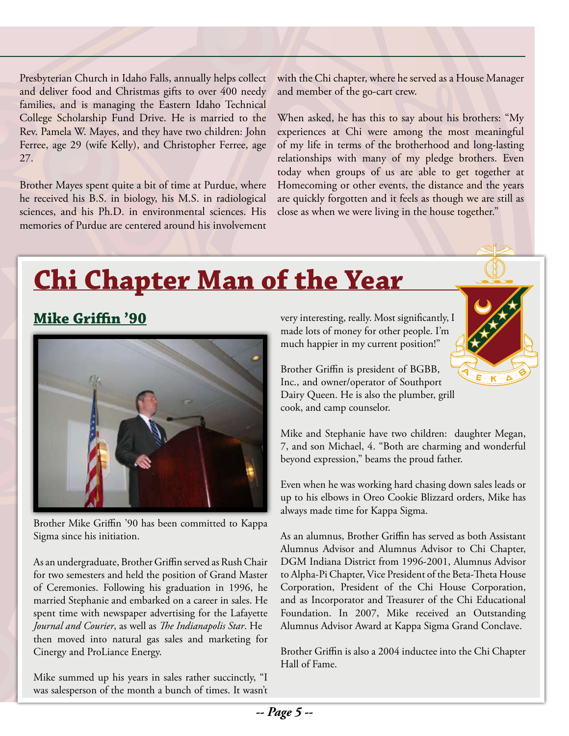Presbyterian Church in Idaho Falls, annually helps collect and deliver food and Christmas gifts to over 400 needy families, and is managing the Eastern Idaho Technical College Scholarship Fund Drive. He is married to the Rev. Pamela W. Mayes, and they have two children: John Ferree, age 29 (wife Kelly), and Christopher Ferree, age 27.

Brother Mayes spent quite a bit of time at Purdue, where he received his B.S. in biology, his M.S. in radiological sciences, and his Ph.D. in environmental sciences. His memories of Purdue are centered around his involvement with the Chi chapter, where he served as a House Manager and member of the go-cart crew.

When asked, he has this to say about his brothers: "My experiences at Chi were among the most meaningful of my life in terms of the brotherhood and long-lasting relationships with many of my pledge brothers. Even today when groups of us are able to get together at Homecoming or other events, the distance and the years are quickly forgotten and it feels as though we are still as close as when we were living in the house together."

# **Chi Chapter Man of the Year**

## **Mike Griffin '90**



Brother Mike Griffin '90 has been committed to Kappa Sigma since his initiation.

As an undergraduate, Brother Griffin served as Rush Chair for two semesters and held the position of Grand Master of Ceremonies. Following his graduation in 1996, he married Stephanie and embarked on a career in sales. He spent time with newspaper advertising for the Lafayette *Journal and Courier*, as well as *The Indianapolis Star*. He then moved into natural gas sales and marketing for Cinergy and ProLiance Energy.

Mike summed up his years in sales rather succinctly, "I was salesperson of the month a bunch of times. It wasn't very interesting, really. Most significantly, I made lots of money for other people. I'm much happier in my current position!"



Brother Griffin is president of BGBB, Inc., and owner/operator of Southport Dairy Queen. He is also the plumber, grill cook, and camp counselor.

Mike and Stephanie have two children: daughter Megan, 7, and son Michael, 4. "Both are charming and wonderful beyond expression," beams the proud father.

Even when he was working hard chasing down sales leads or up to his elbows in Oreo Cookie Blizzard orders, Mike has always made time for Kappa Sigma.

As an alumnus, Brother Griffin has served as both Assistant Alumnus Advisor and Alumnus Advisor to Chi Chapter, DGM Indiana District from 1996-2001, Alumnus Advisor to Alpha-Pi Chapter, Vice President of the Beta-Theta House Corporation, President of the Chi House Corporation, and as Incorporator and Treasurer of the Chi Educational Foundation. In 2007, Mike received an Outstanding Alumnus Advisor Award at Kappa Sigma Grand Conclave.

Brother Griffin is also a 2004 inductee into the Chi Chapter Hall of Fame.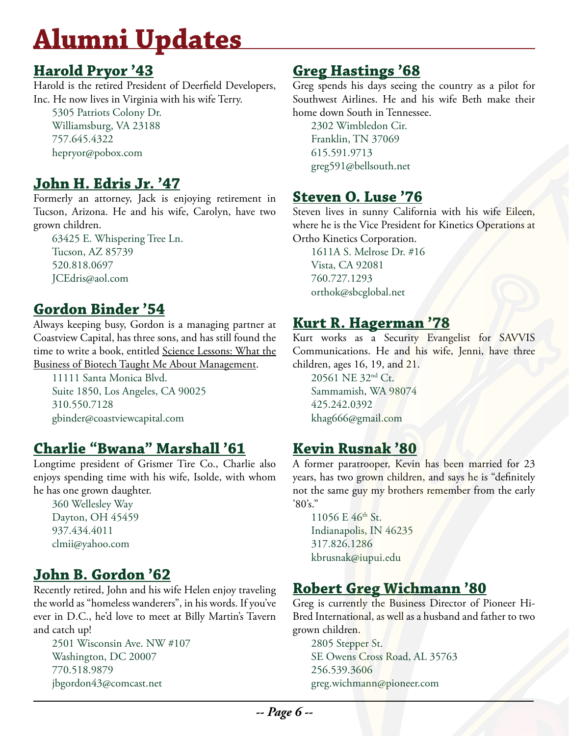# **Alumni Updates**

#### **Harold Pryor '43**

Harold is the retired President of Deerfield Developers, Inc. He now lives in Virginia with his wife Terry.

5305 Patriots Colony Dr. Williamsburg, VA 23188 757.645.4322 hepryor@pobox.com

# **John H. Edris Jr. '47**

Formerly an attorney, Jack is enjoying retirement in Tucson, Arizona. He and his wife, Carolyn, have two grown children.

63425 E. Whispering Tree Ln. Tucson, AZ 85739 520.818.0697 JCEdris@aol.com

## **Gordon Binder '54**

Always keeping busy, Gordon is a managing partner at Coastview Capital, has three sons, and has still found the time to write a book, entitled Science Lessons: What the Business of Biotech Taught Me About Management.

11111 Santa Monica Blvd. Suite 1850, Los Angeles, CA 90025 310.550.7128 gbinder@coastviewcapital.com

### **Charlie "Bwana" Marshall '61**

Longtime president of Grismer Tire Co., Charlie also enjoys spending time with his wife, Isolde, with whom he has one grown daughter.

360 Wellesley Way Dayton, OH 45459 937.434.4011 clmii@yahoo.com

# **John B. Gordon '62**

Recently retired, John and his wife Helen enjoy traveling the world as "homeless wanderers", in his words. If you've ever in D.C., he'd love to meet at Billy Martin's Tavern and catch up!

2501 Wisconsin Ave. NW #107 Washington, DC 20007 770.518.9879 jbgordon43@comcast.net

### **Greg Hastings '68**

Greg spends his days seeing the country as a pilot for Southwest Airlines. He and his wife Beth make their home down South in Tennessee.

2302 Wimbledon Cir. Franklin, TN 37069 615.591.9713 greg591@bellsouth.net

#### **Steven O. Luse '76**

Steven lives in sunny California with his wife Eileen, where he is the Vice President for Kinetics Operations at Ortho Kinetics Corporation.

1611A S. Melrose Dr. #16 Vista, CA 92081 760.727.1293 orthok@sbcglobal.net

### **Kurt R. Hagerman '78**

Kurt works as a Security Evangelist for SAVVIS Communications. He and his wife, Jenni, have three children, ages 16, 19, and 21.

20561 NE 32nd Ct. Sammamish, WA 98074 425.242.0392 khag666@gmail.com

### **Kevin Rusnak '80**

A former paratrooper, Kevin has been married for 23 years, has two grown children, and says he is "definitely not the same guy my brothers remember from the early  $'80's."$ 

11056 E 46<sup>th</sup> St. Indianapolis, IN 46235 317.826.1286 kbrusnak@iupui.edu

# **Robert Greg Wichmann '80**

Greg is currently the Business Director of Pioneer Hi-Bred International, as well as a husband and father to two grown children.

2805 Stepper St. SE Owens Cross Road, AL 35763 256.539.3606 greg.wichmann@pioneer.com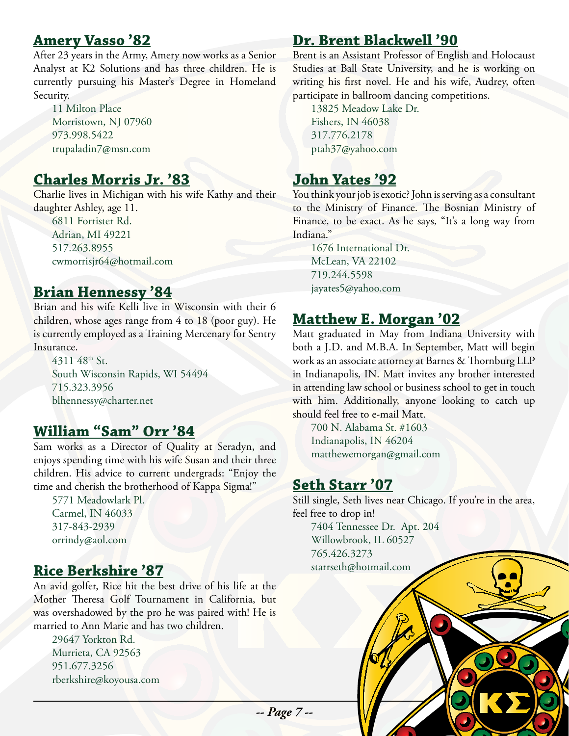#### **Amery Vasso '82**

After 23 years in the Army, Amery now works as a Senior Analyst at K2 Solutions and has three children. He is currently pursuing his Master's Degree in Homeland Security.

11 Milton Place Morristown, NJ 07960 973.998.5422 trupaladin7@msn.com

#### **Charles Morris Jr. '83**

Charlie lives in Michigan with his wife Kathy and their daughter Ashley, age 11.

6811 Forrister Rd. Adrian, MI 49221 517.263.8955 cwmorrisjr64@hotmail.com

#### **Brian Hennessy '84**

Brian and his wife Kelli live in Wisconsin with their 6 children, whose ages range from 4 to 18 (poor guy). He is currently employed as a Training Mercenary for Sentry Insurance.

4311 48<sup>th</sup> St. South Wisconsin Rapids, WI 54494 715.323.3956 blhennessy@charter.net

#### **William "Sam" Orr '84**

Sam works as a Director of Quality at Seradyn, and enjoys spending time with his wife Susan and their three children. His advice to current undergrads: "Enjoy the time and cherish the brotherhood of Kappa Sigma!"

5771 Meadowlark Pl. Carmel, IN 46033 317-843-2939 orrindy@aol.com

#### **Rice Berkshire '87**

An avid golfer, Rice hit the best drive of his life at the Mother Theresa Golf Tournament in California, but was overshadowed by the pro he was paired with! He is married to Ann Marie and has two children.

29647 Yorkton Rd. Murrieta, CA 92563 951.677.3256 rberkshire@koyousa.com

#### **Dr. Brent Blackwell '90**

Brent is an Assistant Professor of English and Holocaust Studies at Ball State University, and he is working on writing his first novel. He and his wife, Audrey, often participate in ballroom dancing competitions.

13825 Meadow Lake Dr. Fishers, IN 46038 317.776.2178 ptah37@yahoo.com

#### **John Yates '92**

You think your job is exotic? John is serving as a consultant to the Ministry of Finance. The Bosnian Ministry of Finance, to be exact. As he says, "It's a long way from Indiana."

1676 International Dr. McLean, VA 22102 719.244.5598 jayates5@yahoo.com

#### **Matthew E. Morgan '02**

Matt graduated in May from Indiana University with both a J.D. and M.B.A. In September, Matt will begin work as an associate attorney at Barnes & Thornburg LLP in Indianapolis, IN. Matt invites any brother interested in attending law school or business school to get in touch with him. Additionally, anyone looking to catch up should feel free to e-mail Matt.

700 N. Alabama St. #1603 Indianapolis, IN 46204 matthewemorgan@gmail.com

#### **Seth Starr '07**

Still single, Seth lives near Chicago. If you're in the area, feel free to drop in!

7404 Tennessee Dr. Apt. 204 Willowbrook, IL 60527 765.426.3273 starrseth@hotmail.com

*-- Page 7 --*